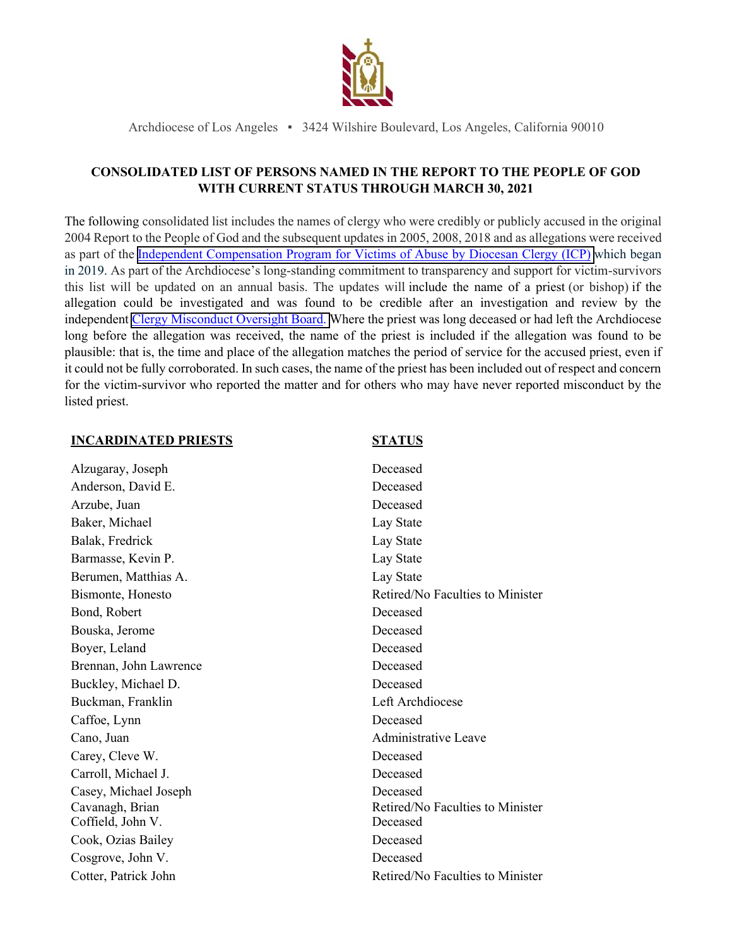

Archdiocese of Los Angeles ▪ 3424 Wilshire Boulevard, Los Angeles, California 90010

## **CONSOLIDATED LIST OF PERSONS NAMED IN THE REPORT TO THE PEOPLE OF GOD WITH CURRENT STATUS THROUGH MARCH 30, 2021**

The following consolidated list includes the names of clergy who were credibly or publicly accused in the original 2004 Report to the People of God and the subsequent updates in 2005, 2008, 2018 and as allegations were received as part of the [Independent Compensation Program for Victims of Abuse by Diocesan](https://protect.la-archdiocese.org/icp/) Clergy (ICP) which began in 2019. As part of the Archdiocese's long-standing commitment to transparency and support for victim-survivors this list will be updated on an annual basis. The updates will include the name of a priest (or bishop) if the allegation could be investigated and was found to be credible after an investigation and review by the independent [Clergy Misconduct Oversight Board.](http://handbook.la-archdiocese.org/chapter-9/section-9-13) Where the priest was long deceased or had left the Archdiocese long before the allegation was received, the name of the priest is included if the allegation was found to be plausible: that is, the time and place of the allegation matches the period of service for the accused priest, even if it could not be fully corroborated. In such cases, the name of the priest has been included out of respect and concern for the victim-survivor who reported the matter and for others who may have never reported misconduct by the listed priest.

### **INCARDINATED PRIESTS STATUS**

| Alzugaray, Joseph      | Deceased                         |
|------------------------|----------------------------------|
| Anderson, David E.     | Deceased                         |
| Arzube, Juan           | Deceased                         |
| Baker, Michael         | Lay State                        |
| Balak, Fredrick        | Lay State                        |
| Barmasse, Kevin P.     | Lay State                        |
| Berumen, Matthias A.   | Lay State                        |
| Bismonte, Honesto      | Retired/No Faculties to Minister |
| Bond, Robert           | Deceased                         |
| Bouska, Jerome         | Deceased                         |
| Boyer, Leland          | Deceased                         |
| Brennan, John Lawrence | Deceased                         |
| Buckley, Michael D.    | Deceased                         |
| Buckman, Franklin      | Left Archdiocese                 |
| Caffoe, Lynn           | Deceased                         |
| Cano, Juan             | <b>Administrative Leave</b>      |
| Carey, Cleve W.        | Deceased                         |
| Carroll, Michael J.    | Deceased                         |
| Casey, Michael Joseph  | Deceased                         |
| Cavanagh, Brian        | Retired/No Faculties to Minister |
| Coffield, John V.      | Deceased                         |
| Cook, Ozias Bailey     | Deceased                         |
| Cosgrove, John V.      | Deceased                         |
| Cotter, Patrick John   | Retired/No Faculties to Minister |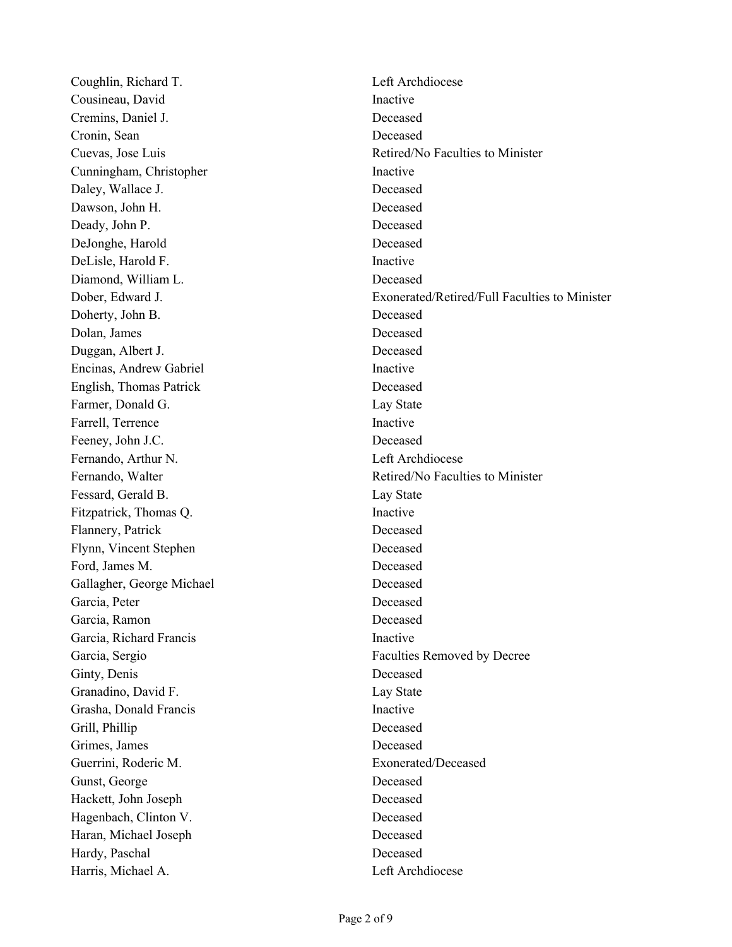Coughlin, Richard T. Left Archdiocese Cousineau, David Inactive Cremins, Daniel J. Deceased Cronin, Sean Deceased Cunningham, Christopher Inactive Daley, Wallace J. Deceased Dawson, John H. Deceased Deady, John P. Deceased DeJonghe, Harold Deceased DeLisle, Harold F. Inactive Diamond, William L. Deceased Doherty, John B. Deceased Dolan, James Deceased Duggan, Albert J. Deceased Encinas, Andrew Gabriel **Inactive** English, Thomas Patrick Deceased Farmer, Donald G. Lay State Farrell, Terrence Inactive Feeney, John J.C. Deceased Fernando, Arthur N. Left Archdiocese Fessard, Gerald B. Lay State Fitzpatrick, Thomas Q. Inactive Flannery, Patrick Deceased Flynn, Vincent Stephen Deceased Ford, James M. Deceased Gallagher, George Michael Deceased Garcia, Peter Deceased Garcia, Ramon Deceased Garcia, Richard Francis **Inactive** Garcia, Sergio Faculties Removed by Decree Ginty, Denis Deceased Granadino, David F. Lay State Grasha, Donald Francis Inactive Grill, Phillip Deceased Grimes, James Deceased Guerrini, Roderic M. Exonerated/Deceased Gunst, George Deceased Hackett, John Joseph Deceased Hagenbach, Clinton V. Deceased Haran, Michael Joseph Deceased Hardy, Paschal Deceased Harris, Michael A. **Left Archdiocese** 

Cuevas, Jose Luis Retired/No Faculties to Minister Dober, Edward J. Exonerated/Retired/Full Faculties to Minister Fernando, Walter **Retired/No Faculties to Minister** Retired/No Faculties to Minister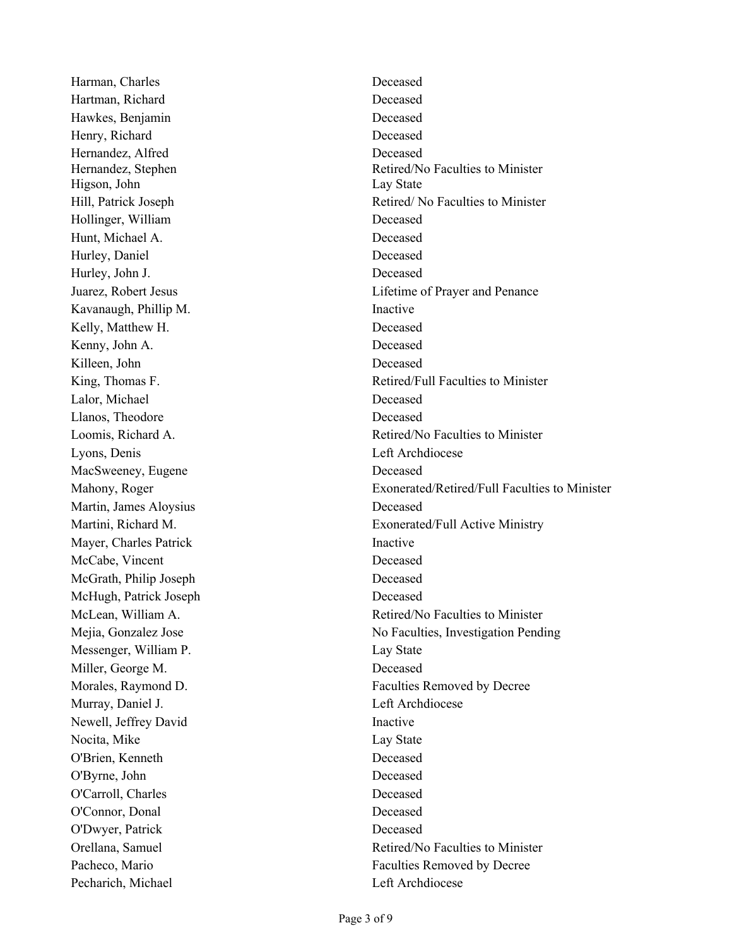Harman, Charles **Deceased** Hartman, Richard Deceased Hawkes, Benjamin Deceased Henry, Richard Deceased Hernandez, Alfred Hernandez, Stephen Higson, John Lay State Hollinger, William Deceased Hunt, Michael A. Deceased Hurley, Daniel Deceased Hurley, John J. Deceased Kavanaugh, Phillip M. Inactive Kelly, Matthew H. Deceased Kenny, John A. Deceased Killeen, John Deceased Lalor, Michael Deceased Llanos, Theodore Deceased Lyons, Denis Left Archdiocese MacSweeney, Eugene **Deceased** Martin, James Aloysius Deceased Mayer, Charles Patrick Inactive McCabe, Vincent Deceased McGrath, Philip Joseph Deceased McHugh, Patrick Joseph Deceased Messenger, William P. Lay State Miller, George M. Deceased Murray, Daniel J. **Example 2018** Left Archdiocese Newell, Jeffrey David Inactive Nocita, Mike Lay State O'Brien, Kenneth Deceased O'Byrne, John Deceased O'Carroll, Charles Deceased O'Connor, Donal Deceased O'Dwyer, Patrick Deceased Pecharich, Michael Left Archdiocese

Deceased Retired/No Faculties to Minister Hill, Patrick Joseph Retired/ No Faculties to Minister Juarez, Robert Jesus Lifetime of Prayer and Penance King, Thomas F. Same School and The Retired/Full Faculties to Minister Loomis, Richard A. **Retired/No Faculties to Minister** Mahony, Roger Exonerated/Retired/Full Faculties to Minister Martini, Richard M. Exonerated/Full Active Ministry McLean, William A. **Retired/No Faculties to Minister** Retired/No Faculties to Minister Mejia, Gonzalez Jose **No Faculties**, Investigation Pending Morales, Raymond D. Faculties Removed by Decree Orellana, Samuel Retired/No Faculties to Minister Pacheco, Mario Faculties Removed by Decree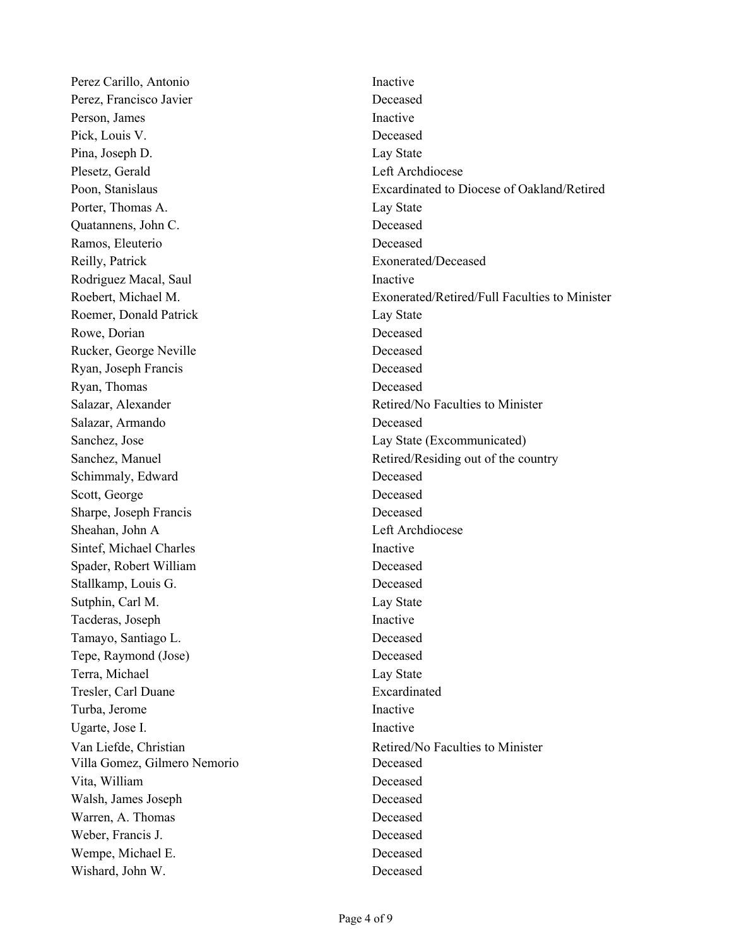Perez Carillo, Antonio Inactive Perez, Francisco Javier Deceased Person, James Inactive Pick, Louis V. Deceased Pina, Joseph D. Lay State Plesetz, Gerald Left Archdiocese Porter, Thomas A. Lay State Quatannens, John C. Deceased Ramos, Eleuterio Deceased Reilly, Patrick Exonerated/Deceased Rodriguez Macal, Saul **Inactive** Roemer, Donald Patrick Lay State Rowe, Dorian Deceased Rucker, George Neville **Deceased** Ryan, Joseph Francis Deceased Ryan, Thomas Deceased Salazar, Armando Deceased Sanchez, Jose Lay State (Excommunicated) Schimmaly, Edward Deceased Scott, George Deceased Sharpe, Joseph Francis Deceased Sheahan, John A Left Archdiocese Sintef, Michael Charles Inactive Spader, Robert William Deceased Stallkamp, Louis G. Deceased Sutphin, Carl M. Lay State Tacderas, Joseph Inactive Tamayo, Santiago L. Deceased Tepe, Raymond (Jose) Deceased Terra, Michael Lay State Tresler, Carl Duane Excardinated Turba, Jerome Inactive Ugarte, Jose I. **Inactive** Villa Gomez, Gilmero Nemorio Deceased Vita, William Deceased Walsh, James Joseph Deceased Warren, A. Thomas Deceased Weber, Francis J. Deceased Wempe, Michael E. Deceased Wishard, John W. Deceased

Poon, Stanislaus Excardinated to Diocese of Oakland/Retired Roebert, Michael M. Exonerated/Retired/Full Faculties to Minister Salazar, Alexander The Communication of the Retired/No Faculties to Minister Sanchez, Manuel **Retired/Residing out of the country** Retired/Residing out of the country Van Liefde, Christian Retired/No Faculties to Minister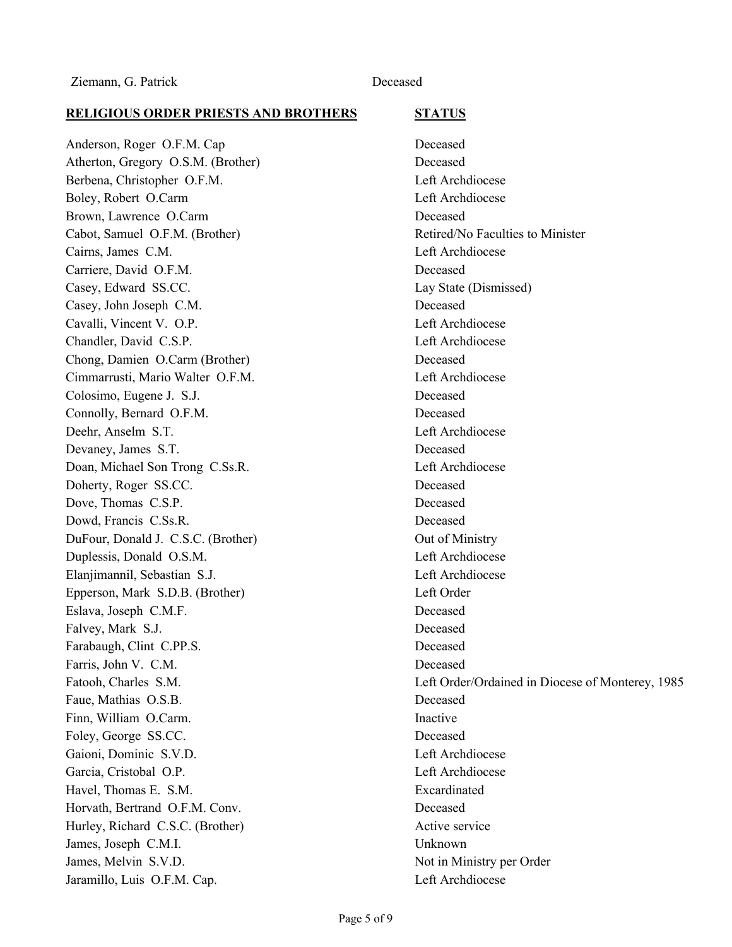### **RELIGIOUS ORDER PRIESTS AND BROTHERS STATUS**

Anderson, Roger O.F.M. Cap Deceased Atherton, Gregory O.S.M. (Brother) Deceased Berbena, Christopher O.F.M. Left Archdiocese Boley, Robert O.Carm Left Archdiocese Brown, Lawrence O.Carm Deceased Cabot, Samuel O.F.M. (Brother) Retired/No Faculties to Minister Cairns, James C.M. Left Archdiocese Carriere, David O.F.M. Deceased Casey, Edward SS.CC. Lay State (Dismissed) Casey, John Joseph C.M. Deceased Cavalli, Vincent V. O.P. Left Archdiocese Chandler, David C.S.P. Left Archdiocese Chong, Damien O.Carm (Brother) Deceased Cimmarrusti, Mario Walter O.F.M. Left Archdiocese Colosimo, Eugene J. S.J. Deceased Connolly, Bernard O.F.M. Deceased Deehr, Anselm S.T. Left Archdiocese Devaney, James S.T. Deceased Doan, Michael Son Trong C.Ss.R. Left Archdiocese Doherty, Roger SS.CC. Deceased Dove, Thomas C.S.P. Deceased Dowd, Francis C.Ss.R. Deceased DuFour, Donald J. C.S.C. (Brother) Out of Ministry Duplessis, Donald O.S.M. Left Archdiocese Elanjimannil, Sebastian S.J. Left Archdiocese Epperson, Mark S.D.B. (Brother) Left Order Eslava, Joseph C.M.F. Deceased Falvey, Mark S.J. Deceased Farabaugh, Clint C.PP.S. Deceased Farris, John V. C.M. Deceased Faue, Mathias O.S.B. Deceased Finn, William O.Carm. Inactive Foley, George SS.CC. Deceased Gaioni, Dominic S.V.D. Left Archdiocese Garcia, Cristobal O.P. Left Archdiocese Havel, Thomas E. S.M. Excardinated Horvath, Bertrand O.F.M. Conv. Deceased Hurley, Richard C.S.C. (Brother) Active service James, Joseph C.M.I. Unknown James, Melvin S.V.D. Not in Ministry per Order Jaramillo, Luis O.F.M. Cap. Left Archdiocese

Fatooh, Charles S.M. Left Order/Ordained in Diocese of Monterey, 1985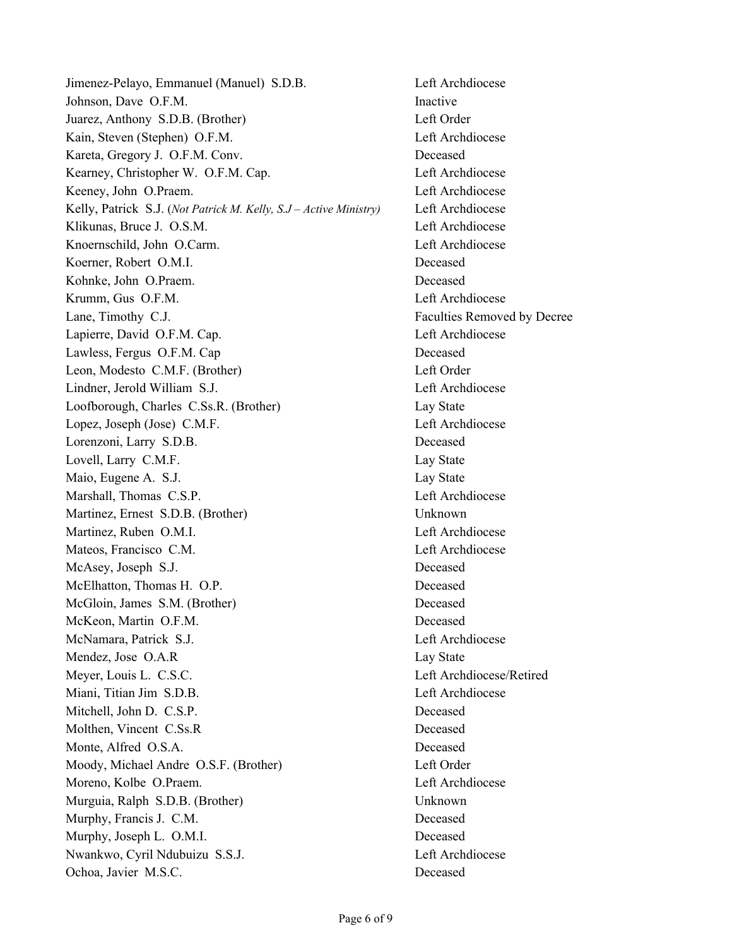Jimenez-Pelayo, Emmanuel (Manuel) S.D.B. Left Archdiocese Johnson, Dave O.F.M. Inactive Juarez, Anthony S.D.B. (Brother) Left Order Kain, Steven (Stephen) O.F.M. Left Archdiocese Kareta, Gregory J. O.F.M. Conv. Deceased Kearney, Christopher W. O.F.M. Cap. Left Archdiocese Keeney, John O.Praem. Left Archdiocese Kelly, Patrick S.J. (*Not Patrick M. Kelly, S.J – Active Ministry)* Left Archdiocese Klikunas, Bruce J. O.S.M. Left Archdiocese Knoernschild, John O.Carm. Left Archdiocese Koerner, Robert O.M.I. Deceased Kohnke, John O.Praem. Deceased Krumm, Gus O.F.M. **Left Archdiocese** Lane, Timothy C.J. **Faculties Removed by Decree** Lapierre, David O.F.M. Cap. Left Archdiocese Lawless, Fergus O.F.M. Cap Deceased Leon, Modesto C.M.F. (Brother) Left Order Lindner, Jerold William S.J. Left Archdiocese Loofborough, Charles C.Ss.R. (Brother) Lay State Lopez, Joseph (Jose) C.M.F. Left Archdiocese Lorenzoni, Larry S.D.B. Deceased Lovell, Larry C.M.F. Lay State Maio, Eugene A. S.J. Lay State Marshall, Thomas C.S.P. Left Archdiocese Martinez, Ernest S.D.B. (Brother) Unknown Martinez, Ruben O.M.I. Left Archdiocese Mateos, Francisco C.M. Left Archdiocese McAsey, Joseph S.J. Deceased McElhatton, Thomas H. O.P. Deceased McGloin, James S.M. (Brother) Deceased McKeon, Martin O.F.M. Deceased McNamara, Patrick S.J. Left Archdiocese Mendez, Jose O.A.R Lay State Meyer, Louis L. C.S.C. Left Archdiocese/Retired Miani, Titian Jim S.D.B. Left Archdiocese Mitchell, John D. C.S.P. Deceased Molthen, Vincent C.Ss.R Deceased Monte, Alfred O.S.A. Deceased Moody, Michael Andre O.S.F. (Brother) Left Order Moreno, Kolbe O.Praem. Left Archdiocese Murguia, Ralph S.D.B. (Brother) Unknown Murphy, Francis J. C.M. Deceased Murphy, Joseph L. O.M.I. Deceased Nwankwo, Cyril Ndubuizu S.S.J. Left Archdiocese Ochoa, Javier M.S.C. Deceased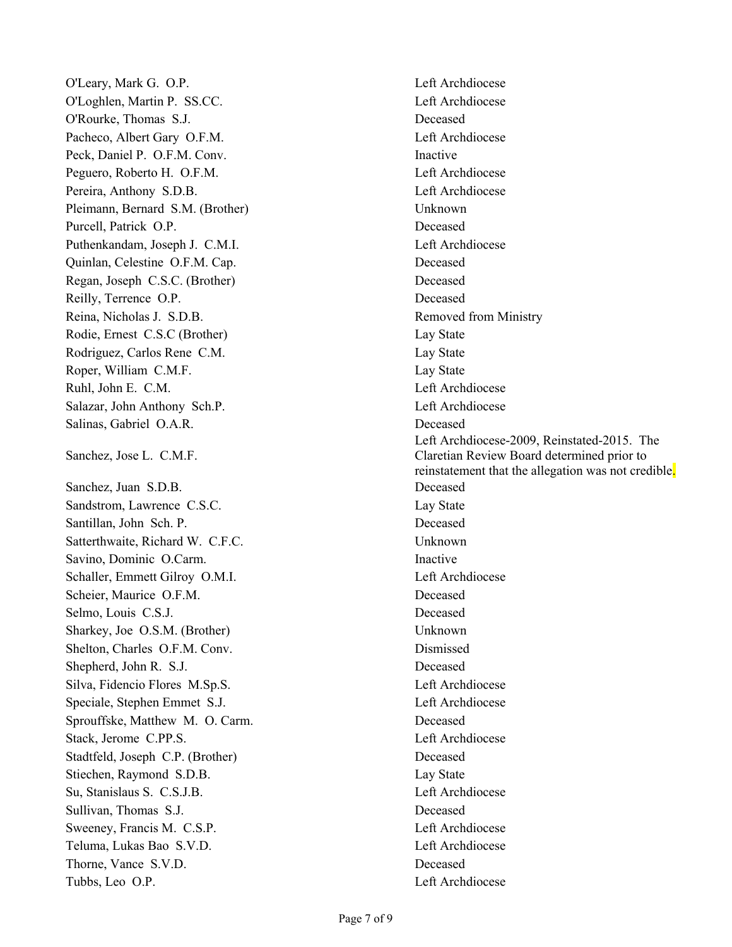O'Leary, Mark G. O.P. Left Archdiocese O'Loghlen, Martin P. SS.CC. Left Archdiocese O'Rourke, Thomas S.J. Deceased Pacheco, Albert Gary O.F.M. Left Archdiocese Peck, Daniel P. O.F.M. Conv. Inactive Peguero, Roberto H. O.F.M. Left Archdiocese Pereira, Anthony S.D.B. Left Archdiocese Pleimann, Bernard S.M. (Brother) Unknown Purcell, Patrick O.P. Deceased Puthenkandam, Joseph J. C.M.I. Left Archdiocese Quinlan, Celestine O.F.M. Cap. Deceased Regan, Joseph C.S.C. (Brother) Deceased Reilly, Terrence O.P. Deceased Reina, Nicholas J. S.D.B. Removed from Ministry Rodie, Ernest C.S.C (Brother) Lay State Rodriguez, Carlos Rene C.M. Lay State Roper, William C.M.F. Lay State Ruhl, John E. C.M. Left Archdiocese Salazar, John Anthony Sch.P. Left Archdiocese Salinas, Gabriel O.A.R. Deceased Sanchez, Jose L. C.M.F. Sanchez, Juan S.D.B. Deceased Sandstrom, Lawrence C.S.C. Lay State Santillan, John Sch. P. Deceased Satterthwaite, Richard W. C.F.C. Unknown Savino, Dominic O.Carm. Inactive Schaller, Emmett Gilroy O.M.I. Left Archdiocese Scheier, Maurice O.F.M. Deceased Selmo, Louis C.S.J. Deceased Sharkey, Joe O.S.M. (Brother) Unknown Shelton, Charles O.F.M. Conv. Dismissed Shepherd, John R. S.J. Deceased Silva, Fidencio Flores M.Sp.S. Left Archdiocese Speciale, Stephen Emmet S.J. Left Archdiocese Sprouffske, Matthew M. O. Carm. Deceased Stack, Jerome C.P.P.S. Stack, Jerome C.P.P.S. Stadtfeld, Joseph C.P. (Brother) Deceased Stiechen, Raymond S.D.B. Lay State Su, Stanislaus S. C.S.J.B. Left Archdiocese Sullivan, Thomas S.J. Deceased Sweeney, Francis M. C.S.P. Left Archdiocese Teluma, Lukas Bao S.V.D. Left Archdiocese Thorne, Vance S.V.D. Deceased Tubbs, Leo O.P. Left Archdiocese

Left Archdiocese-2009, Reinstated-2015. The Claretian Review Board determined prior to reinstatement that the allegation was not credible.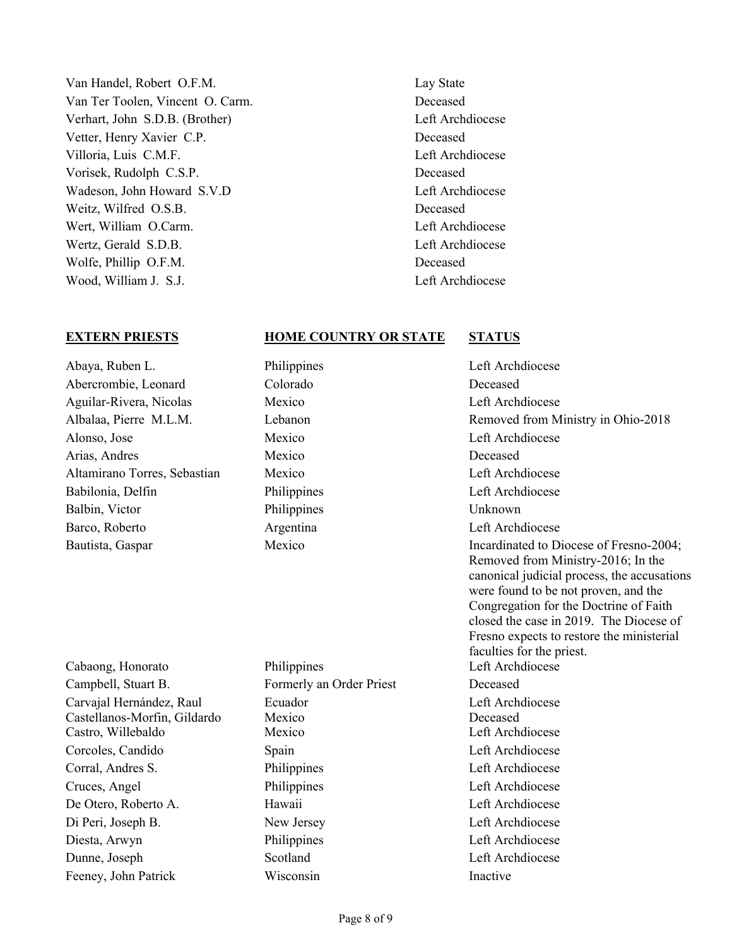- Van Handel, Robert O.F.M. Lay State Van Ter Toolen, Vincent O. Carm. Deceased Verhart, John S.D.B. (Brother) Left Archdiocese Vetter, Henry Xavier C.P. Deceased Villoria, Luis C.M.F. Left Archdiocese Vorisek, Rudolph C.S.P. Deceased Wadeson, John Howard S.V.D Left Archdiocese Weitz, Wilfred O.S.B. Deceased Wert, William O.Carm. **Left Archdiocese** Wertz, Gerald S.D.B. Left Archdiocese Wolfe, Phillip O.F.M. Deceased Wood, William J. S.J. Left Archdiocese
	-

### **EXTERN PRIESTS HOME COUNTRY OR STATE STATUS**

- Abaya, Ruben L. Philippines Left Archdiocese Abercrombie, Leonard Colorado Deceased Aguilar-Rivera, Nicolas Mexico Left Archdiocese Alonso, Jose Mexico Left Archdiocese Arias, Andres Mexico Mexico Deceased Altamirano Torres, Sebastian Mexico Left Archdiocese Babilonia, Delfin Philippines Left Archdiocese Balbin, Victor Philippines Unknown Barco, Roberto **Argentina** Argentina Left Archdiocese
	-

Cabaong, Honorato Philippines Left Archdiocese Campbell, Stuart B. Formerly an Order Priest Deceased Carvajal Hernández, Raul Castellanos-Morfin, Gildardo Castro, Willebaldo Mexico Left Archdiocese Corcoles, Candido Spain Left Archdiocese Corral, Andres S. Philippines Left Archdiocese Cruces, Angel Philippines Left Archdiocese De Otero, Roberto A. Hawaii Left Archdiocese Di Peri, Joseph B. New Jersey Left Archdiocese Diesta, Arwyn Philippines Left Archdiocese Dunne, Joseph Scotland Left Archdiocese

Ecuador Mexico Feeney, John Patrick Wisconsin Inactive

Albalaa, Pierre M.L.M. Lebanon Lebanon Removed from Ministry in Ohio-2018 Bautista, Gaspar **Mexico** Mexico **Incardinated to Diocese of Fresno-2004**; Removed from Ministry-2016; In the canonical judicial process, the accusations were found to be not proven, and the Congregation for the Doctrine of Faith closed the case in 2019. The Diocese of Fresno expects to restore the ministerial faculties for the priest. Left Archdiocese Deceased